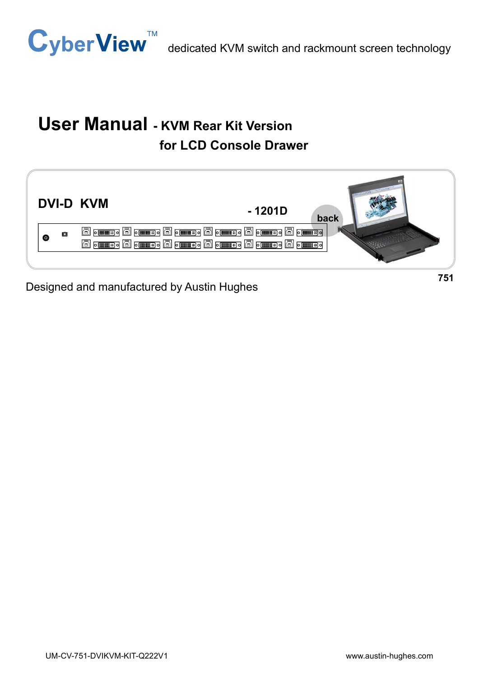

# User Manual - KVM Rear Kit Version for LCD Console Drawer



Designed and manufactured by Austin Hughes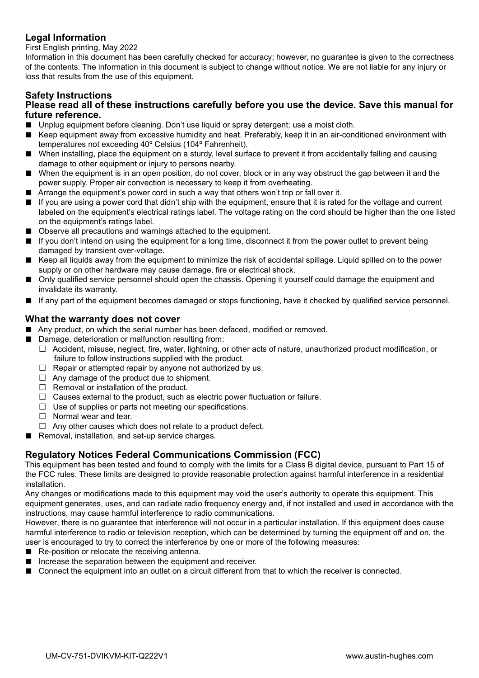#### Legal Information

First English printing, May 2022

Information in this document has been carefully checked for accuracy; however, no guarantee is given to the correctness of the contents. The information in this document is subject to change without notice. We are not liable for any injury or loss that results from the use of this equipment.

#### Safety Instructions

#### Please read all of these instructions carefully before you use the device. Save this manual for future reference.

- Unplug equipment before cleaning. Don't use liquid or spray detergent; use a moist cloth.
- Keep equipment away from excessive humidity and heat. Preferably, keep it in an air-conditioned environment with temperatures not exceeding 40º Celsius (104º Fahrenheit).
- When installing, place the equipment on a sturdy, level surface to prevent it from accidentally falling and causing damage to other equipment or injury to persons nearby.
- When the equipment is in an open position, do not cover, block or in any way obstruct the gap between it and the power supply. Proper air convection is necessary to keep it from overheating.
- Arrange the equipment's power cord in such a way that others won't trip or fall over it.
- If you are using a power cord that didn't ship with the equipment, ensure that it is rated for the voltage and current labeled on the equipment's electrical ratings label. The voltage rating on the cord should be higher than the one listed on the equipment's ratings label.
- Observe all precautions and warnings attached to the equipment.
- If you don't intend on using the equipment for a long time, disconnect it from the power outlet to prevent being damaged by transient over-voltage.
- Keep all liquids away from the equipment to minimize the risk of accidental spillage. Liquid spilled on to the power supply or on other hardware may cause damage, fire or electrical shock.
- Only qualified service personnel should open the chassis. Opening it yourself could damage the equipment and invalidate its warranty.
- If any part of the equipment becomes damaged or stops functioning, have it checked by qualified service personnel.

#### What the warranty does not cover

- Any product, on which the serial number has been defaced, modified or removed.
- Damage, deterioration or malfunction resulting from:
	- $\Box$  Accident, misuse, neglect, fire, water, lightning, or other acts of nature, unauthorized product modification, or failure to follow instructions supplied with the product.
	- $\Box$  Repair or attempted repair by anyone not authorized by us.
	- $\Box$  Any damage of the product due to shipment.
	- $\Box$  Removal or installation of the product.
	- $\Box$  Causes external to the product, such as electric power fluctuation or failure.
	- $\Box$  Use of supplies or parts not meeting our specifications.
	- $\Box$  Normal wear and tear.
	- $\Box$  Any other causes which does not relate to a product defect.
- Removal, installation, and set-up service charges.

#### Regulatory Notices Federal Communications Commission (FCC)

This equipment has been tested and found to comply with the limits for a Class B digital device, pursuant to Part 15 of the FCC rules. These limits are designed to provide reasonable protection against harmful interference in a residential installation.

Any changes or modifications made to this equipment may void the user's authority to operate this equipment. This equipment generates, uses, and can radiate radio frequency energy and, if not installed and used in accordance with the instructions, may cause harmful interference to radio communications.

However, there is no guarantee that interference will not occur in a particular installation. If this equipment does cause harmful interference to radio or television reception, which can be determined by turning the equipment off and on, the user is encouraged to try to correct the interference by one or more of the following measures:

- Re-position or relocate the receiving antenna.
- Increase the separation between the equipment and receiver.
- Connect the equipment into an outlet on a circuit different from that to which the receiver is connected.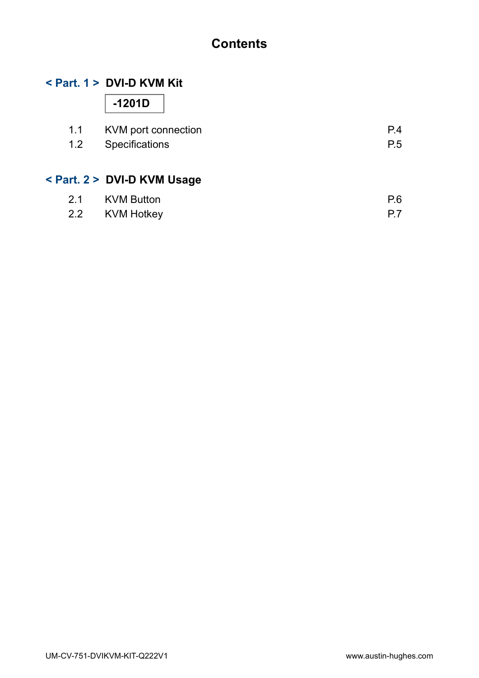# **Contents**

### < Part. 1 > DVI-D KVM Kit

-1201D

| 1.1 KVM port connection | P.4 |
|-------------------------|-----|
| 1.2 Specifications      | P.5 |

### < Part. 2 > DVI-D KVM Usage

| 2.1 KVM Button | P.6 |
|----------------|-----|
| 2.2 KVM Hotkey |     |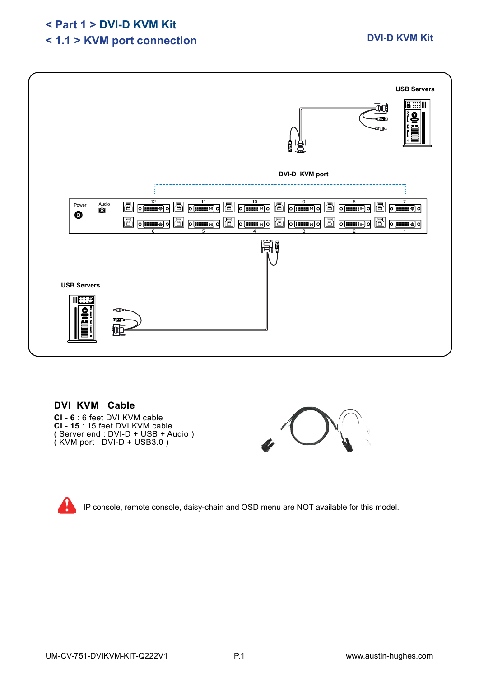### < Part 1 > DVI-D KVM Kit

# < 1.1 > KVM port connection



### DVI KVM Cable

CI - 6 : 6 feet DVI KVM cable CI - 15 : 15 feet DVI KVM cable ( Server end : DVI-D + USB + Audio )  $(KVM$  port : DVI-D + USB3.0)



IP console, remote console, daisy-chain and OSD menu are NOT available for this model.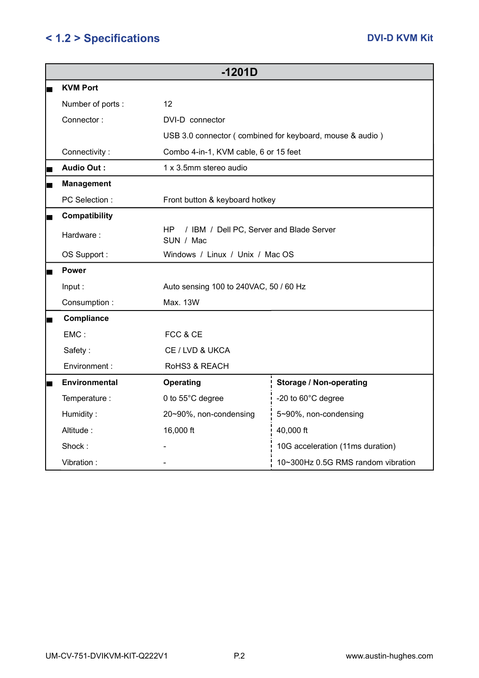# < 1.2 > Specifications DVI-D KVM Kit

| $-1201D$             |                                                             |                                    |  |  |
|----------------------|-------------------------------------------------------------|------------------------------------|--|--|
| <b>KVM Port</b>      |                                                             |                                    |  |  |
| Number of ports:     | 12                                                          |                                    |  |  |
| Connector:           | DVI-D connector                                             |                                    |  |  |
|                      | USB 3.0 connector (combined for keyboard, mouse & audio)    |                                    |  |  |
| Connectivity:        | Combo 4-in-1, KVM cable, 6 or 15 feet                       |                                    |  |  |
| <b>Audio Out:</b>    | 1 x 3.5mm stereo audio                                      |                                    |  |  |
| <b>Management</b>    |                                                             |                                    |  |  |
| PC Selection :       | Front button & keyboard hotkey                              |                                    |  |  |
| Compatibility        |                                                             |                                    |  |  |
| Hardware:            | HP<br>/ IBM / Dell PC, Server and Blade Server<br>SUN / Mac |                                    |  |  |
| OS Support:          | Windows / Linux / Unix / Mac OS                             |                                    |  |  |
| <b>Power</b>         |                                                             |                                    |  |  |
| Input:               | Auto sensing 100 to 240VAC, 50 / 60 Hz                      |                                    |  |  |
| Consumption:         | Max. 13W                                                    |                                    |  |  |
| Compliance           |                                                             |                                    |  |  |
| $EMC$ :<br>FCC & CE  |                                                             |                                    |  |  |
| Safety:              | CE / LVD & UKCA                                             |                                    |  |  |
| Environment:         | RoHS3 & REACH                                               |                                    |  |  |
| <b>Environmental</b> | <b>Operating</b>                                            | <b>Storage / Non-operating</b>     |  |  |
| Temperature :        | 0 to 55°C degree                                            | -20 to 60°C degree                 |  |  |
| Humidity:            | 20~90%, non-condensing                                      | 5~90%, non-condensing              |  |  |
| Altitude:            | 16,000 ft                                                   | 40,000 ft                          |  |  |
| Shock:               |                                                             | 10G acceleration (11ms duration)   |  |  |
| Vibration:           |                                                             | 10~300Hz 0.5G RMS random vibration |  |  |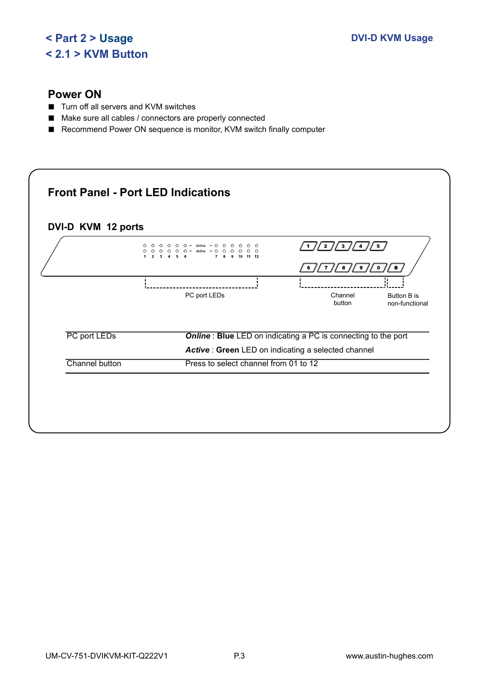## < Part 2 > Usage < 2.1 > KVM Button

### Power ON

- Turn off all servers and KVM switches
- Make sure all cables / connectors are properly connected
- Recommend Power ON sequence is monitor, KVM switch finally computer

|                | $\circ$<br>$\circ$<br>$\circ$ $\circ$<br>Online<br>O<br>∩<br>$\circ$<br>$O$ $O$ $O$<br>$O$ $O$<br>$-$ Active $ \circ$<br>$\circ$<br>$\circ$<br>$\circ$<br>$\circ$<br>7 <sub>8</sub><br>9 10 11 12 | /5<br>/2//3//4<br>$\left  \cdot \right $                             |
|----------------|---------------------------------------------------------------------------------------------------------------------------------------------------------------------------------------------------|----------------------------------------------------------------------|
|                |                                                                                                                                                                                                   | /9/<br>$\circ$<br>$\sqrt{B}$<br>/ s /<br>$\overline{7}$<br>6         |
|                | PC port LEDs                                                                                                                                                                                      | Channel<br><b>Button B is</b><br>button<br>non-functional            |
| PC port LEDs   |                                                                                                                                                                                                   | <b>Online: Blue LED on indicating a PC is connecting to the port</b> |
|                |                                                                                                                                                                                                   | Active: Green LED on indicating a selected channel                   |
| Channel button | Press to select channel from 01 to 12                                                                                                                                                             |                                                                      |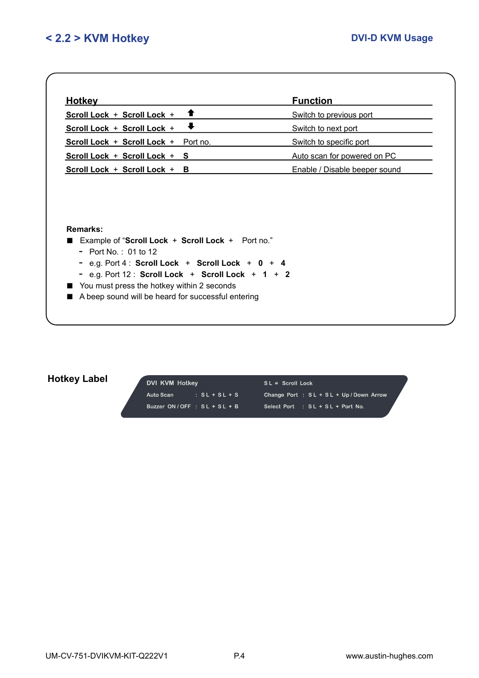| <b>Hotkey</b>                                                                                                           |                                                                                                           | <b>Function</b>               |
|-------------------------------------------------------------------------------------------------------------------------|-----------------------------------------------------------------------------------------------------------|-------------------------------|
| Scroll Lock + Scroll Lock +                                                                                             | ↑                                                                                                         | Switch to previous port       |
| Scroll Lock + Scroll Lock +                                                                                             | $\ddagger$                                                                                                | Switch to next port           |
| Scroll Lock + Scroll Lock + Port no.                                                                                    |                                                                                                           | Switch to specific port       |
| Scroll Lock + Scroll Lock + S                                                                                           |                                                                                                           | Auto scan for powered on PC   |
| Scroll Lock + Scroll Lock +                                                                                             | в                                                                                                         | Enable / Disable beeper sound |
| Remarks:                                                                                                                |                                                                                                           |                               |
| Example of "Scroll Lock + Scroll Lock + Port no."<br>- Port No.: 01 to 12<br>You must press the hotkey within 2 seconds | - e.g. Port $4:$ Scroll Lock + Scroll Lock + 0 + 4<br>- e.g. Port $12:$ Scroll Lock + Scroll Lock + 1 + 2 |                               |

# Hotkey Label

| DVI KVM Hotkey                |                 | $SL =$ Scroll Lock                        |  |  |
|-------------------------------|-----------------|-------------------------------------------|--|--|
| Auto Scan                     | $: SL + SL + S$ | Change Port : $SL + SL + Up / Down$ Arrow |  |  |
| Buzzer ON/OFF : $SL + SL + B$ |                 | Select Port : SL + SL + Port No.          |  |  |